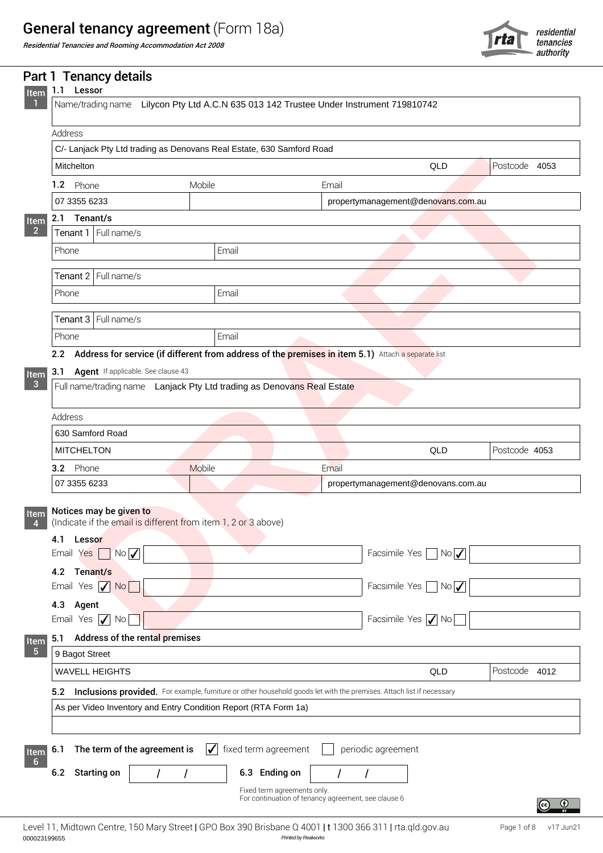## General tenancy agreement (Form 18a)



|                         | Residential Tenancies and Rooming Accommodation Act 2008                                                                 |                                           |                                    |                                | rta           | tenancies<br>authority |
|-------------------------|--------------------------------------------------------------------------------------------------------------------------|-------------------------------------------|------------------------------------|--------------------------------|---------------|------------------------|
| Item                    | Part 1 Tenancy details<br>Lessor<br>1.1                                                                                  |                                           |                                    |                                |               |                        |
|                         | Name/trading name Lilycon Pty Ltd A.C.N 635 013 142 Trustee Under Instrument 719810742                                   |                                           |                                    |                                |               |                        |
|                         |                                                                                                                          |                                           |                                    |                                |               |                        |
|                         | Address<br>C/- Lanjack Pty Ltd trading as Denovans Real Estate, 630 Samford Road                                         |                                           |                                    |                                |               |                        |
|                         | Mitchelton                                                                                                               |                                           |                                    | QLD                            | Postcode 4053 |                        |
|                         |                                                                                                                          |                                           |                                    |                                |               |                        |
|                         | 1.2 Phone                                                                                                                | Mobile                                    | Email                              |                                |               |                        |
|                         | 07 3355 6233<br>2.1 Tenant/s                                                                                             |                                           | propertymanagement@denovans.com.au |                                |               |                        |
| Item<br>$\overline{2}$  | Tenant 1 Full name/s                                                                                                     |                                           |                                    |                                |               |                        |
|                         | Phone                                                                                                                    | Email                                     |                                    |                                |               |                        |
|                         |                                                                                                                          |                                           |                                    |                                |               |                        |
|                         | Tenant 2 Full name/s                                                                                                     |                                           |                                    |                                |               |                        |
|                         | Phone                                                                                                                    | Email                                     |                                    |                                |               |                        |
|                         | Tenant 3 Full name/s                                                                                                     |                                           |                                    |                                |               |                        |
|                         | Phone                                                                                                                    | Email                                     |                                    |                                |               |                        |
|                         | Address for service (if different from address of the premises in item 5.1) Attach a separate list<br>2.2                |                                           |                                    |                                |               |                        |
| Item                    | Agent If applicable. See clause 43<br>3.1                                                                                |                                           |                                    |                                |               |                        |
| $\overline{\mathbf{3}}$ | Full name/trading name Lanjack Pty Ltd trading as Denovans Real Estate                                                   |                                           |                                    |                                |               |                        |
|                         |                                                                                                                          |                                           |                                    |                                |               |                        |
|                         | Address                                                                                                                  |                                           |                                    |                                |               |                        |
|                         | 630 Samford Road                                                                                                         |                                           |                                    |                                |               |                        |
|                         | <b>MITCHELTON</b>                                                                                                        |                                           |                                    | QLD                            | Postcode 4053 |                        |
|                         | 3.2 Phone                                                                                                                | Mobile                                    | Email                              |                                |               |                        |
|                         | 07 3355 6233                                                                                                             |                                           | propertymanagement@denovans.com.au |                                |               |                        |
| Item<br>4               | Notices may be given to<br>(Indicate if the email is different from item 1, 2 or 3 above)                                |                                           |                                    |                                |               |                        |
|                         | 4.1<br>Lessor<br>$Yes$ No $\overline{\bigvee}$<br>Email                                                                  |                                           |                                    | Facsimile Yes $\Box$ No $\Box$ |               |                        |
|                         | Tenant/s<br>4.2                                                                                                          |                                           |                                    |                                |               |                        |
|                         | Yes $\sqrt{N_0}$<br>Email                                                                                                |                                           |                                    | Facsimile Yes No               |               |                        |
|                         | 4.3<br>Agent<br>Yes $\sqrt{N_0}$<br>Email                                                                                |                                           |                                    | Facsimile Yes / No             |               |                        |
| Item                    | Address of the rental premises<br>5.1                                                                                    |                                           |                                    |                                |               |                        |
| $-5$                    | 9 Bagot Street                                                                                                           |                                           |                                    |                                |               |                        |
|                         | <b>WAVELL HEIGHTS</b>                                                                                                    |                                           |                                    | QLD                            | Postcode 4012 |                        |
|                         | 5.2 Inclusions provided. For example, furniture or other household goods let with the premises. Attach list if necessary |                                           |                                    |                                |               |                        |
|                         | As per Video Inventory and Entry Condition Report (RTA Form 1a)                                                          |                                           |                                    |                                |               |                        |
|                         |                                                                                                                          |                                           |                                    |                                |               |                        |
| Item                    | The term of the agreement is<br>6.1                                                                                      | $\sqrt{\phantom{a}}$ fixed term agreement | periodic agreement                 |                                |               |                        |
| $6\overline{6}$         | <b>Starting on</b><br>6.2                                                                                                | 6.3 Ending on                             |                                    |                                |               |                        |
|                         |                                                                                                                          | Fixed term agreements only.               |                                    |                                |               |                        |

*Printed by Realworks* 000023199655 Level 11, Midtown Centre, 150 Mary Street | GPO Box 390 Brisbane Q 4001 | t 1300 366 311 | rta.qld.gov.au

For continuation of tenancy agreement, see clause 6

 $\left[$ cc)

 $\odot$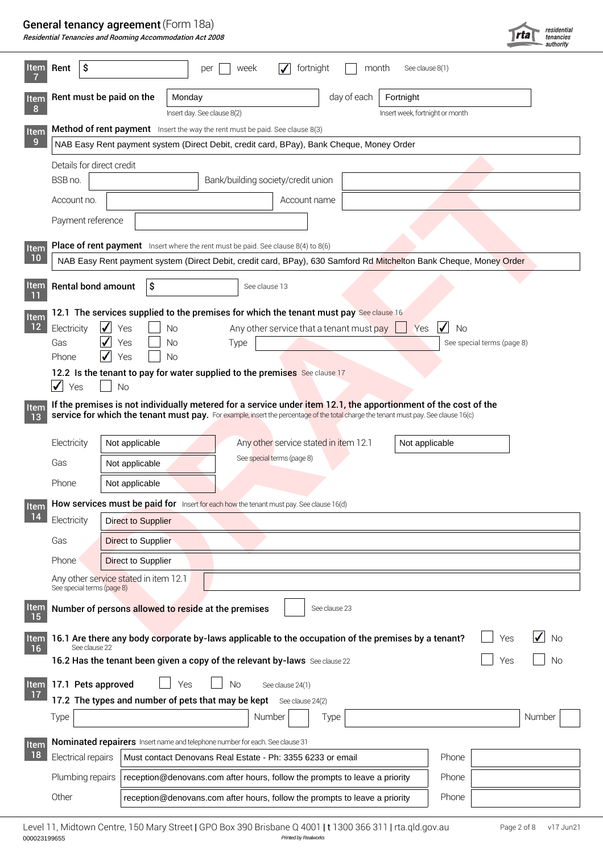#### General tenancy agreement (Form 18a)

| Residential Tenancies and Rooming Accommodation Act 2008 |  |
|----------------------------------------------------------|--|
|----------------------------------------------------------|--|

|                   |                            | <b>General tenancy agreement</b> (Form 18a)<br>Residential Tenancies and Rooming Accommodation Act 2008 |                                                                                                                                     |                                                                     |                          |                                 | rta                        | residential<br>tenancies |
|-------------------|----------------------------|---------------------------------------------------------------------------------------------------------|-------------------------------------------------------------------------------------------------------------------------------------|---------------------------------------------------------------------|--------------------------|---------------------------------|----------------------------|--------------------------|
| <b>Item</b>       | -\$<br>Rent                |                                                                                                         | per<br>week                                                                                                                         | $\checkmark$<br>fortnight                                           | month                    | See clause 8(1)                 |                            |                          |
| Item<br>-8        |                            | Rent must be paid on the                                                                                | Monday<br>Insert day. See clause 8(2)                                                                                               |                                                                     | day of each<br>Fortnight | Insert week, fortnight or month |                            |                          |
| Item              |                            |                                                                                                         | Method of rent payment Insert the way the rent must be paid. See clause 8(3)                                                        |                                                                     |                          |                                 |                            |                          |
| -9                |                            |                                                                                                         | NAB Easy Rent payment system (Direct Debit, credit card, BPay), Bank Cheque, Money Order                                            |                                                                     |                          |                                 |                            |                          |
|                   |                            | Details for direct credit                                                                               |                                                                                                                                     |                                                                     |                          |                                 |                            |                          |
|                   | BSB no.                    |                                                                                                         |                                                                                                                                     | Bank/building society/credit union                                  |                          |                                 |                            |                          |
|                   | Account no.                |                                                                                                         |                                                                                                                                     | Account name                                                        |                          |                                 |                            |                          |
|                   | Payment reference          |                                                                                                         |                                                                                                                                     |                                                                     |                          |                                 |                            |                          |
| Item              |                            |                                                                                                         | <b>Place of rent payment</b> Insert where the rent must be paid. See clause $8(4)$ to $8(6)$                                        |                                                                     |                          |                                 |                            |                          |
| 10                |                            |                                                                                                         | NAB Easy Rent payment system (Direct Debit, credit card, BPay), 630 Samford Rd Mitchelton Bank Cheque, Money Order                  |                                                                     |                          |                                 |                            |                          |
| <b>Item</b>       |                            | <b>Rental bond amount</b><br>S                                                                          | See clause 13                                                                                                                       |                                                                     |                          |                                 |                            |                          |
| Item              |                            |                                                                                                         | 12.1 The services supplied to the premises for which the tenant must pay See clause 16                                              |                                                                     |                          |                                 |                            |                          |
| 12                | Electricity                | $\blacktriangledown$<br>Yes                                                                             | Νo                                                                                                                                  | Any other service that a tenant must pay $\Box$                     |                          | $\sqrt{N}$<br>Yes               |                            |                          |
|                   | Gas                        | $\sqrt{\ }$ Yes                                                                                         | Type<br><b>No</b>                                                                                                                   |                                                                     |                          |                                 | See special terms (page 8) |                          |
|                   | Phone                      | $\sqrt{ }$ Yes                                                                                          | <b>No</b>                                                                                                                           |                                                                     |                          |                                 |                            |                          |
|                   | $\sqrt{ }$<br>Yes          | <b>No</b>                                                                                               | 12.2 Is the tenant to pay for water supplied to the premises See clause 17                                                          |                                                                     |                          |                                 |                            |                          |
|                   |                            |                                                                                                         | If the premises is not individually metered for a service under item 12.1, the apportionment of the cost of the                     |                                                                     |                          |                                 |                            |                          |
| <b>Item</b><br>13 |                            |                                                                                                         | service for which the tenant must pay. For example, insert the percentage of the total charge the tenant must pay. See clause 16(c) |                                                                     |                          |                                 |                            |                          |
|                   |                            |                                                                                                         |                                                                                                                                     |                                                                     |                          |                                 |                            |                          |
|                   | Electricity                | Not applicable                                                                                          |                                                                                                                                     | Any other service stated in item 12.1<br>See special terms (page 8) |                          | Not applicable                  |                            |                          |
|                   | Gas                        | Not applicable                                                                                          |                                                                                                                                     |                                                                     |                          |                                 |                            |                          |
|                   | Phone                      | Not applicable                                                                                          |                                                                                                                                     |                                                                     |                          |                                 |                            |                          |
| Item              |                            |                                                                                                         | How services must be paid for Insert for each how the tenant must pay. See clause 16(d)                                             |                                                                     |                          |                                 |                            |                          |
| 14                | Electricity                | <b>Direct to Supplier</b>                                                                               |                                                                                                                                     |                                                                     |                          |                                 |                            |                          |
|                   | Gas                        | <b>Direct to Supplier</b>                                                                               |                                                                                                                                     |                                                                     |                          |                                 |                            |                          |
|                   | Phone <sup>®</sup>         | Direct to Supplier                                                                                      |                                                                                                                                     |                                                                     |                          |                                 |                            |                          |
|                   |                            |                                                                                                         |                                                                                                                                     |                                                                     |                          |                                 |                            |                          |
|                   | See special terms (page 8) | Any other service stated in item 12.1                                                                   |                                                                                                                                     |                                                                     |                          |                                 |                            |                          |
| Item<br><b>15</b> |                            |                                                                                                         | Number of persons allowed to reside at the premises                                                                                 | See clause 23                                                       |                          |                                 |                            |                          |
| Item<br>16        | See clause 22              |                                                                                                         | 16.1 Are there any body corporate by-laws applicable to the occupation of the premises by a tenant?                                 |                                                                     |                          |                                 | Yes                        | $\sqrt{N}$               |
|                   |                            |                                                                                                         | 16.2 Has the tenant been given a copy of the relevant by-laws See clause 22                                                         |                                                                     |                          |                                 | Yes                        | <b>No</b>                |
|                   | Item 17.1 Pets approved    |                                                                                                         | Yes<br><b>No</b>                                                                                                                    | See clause 24(1)                                                    |                          |                                 |                            |                          |
| $\overline{17}$   |                            |                                                                                                         | 17.2 The types and number of pets that may be kept See clause 24(2)                                                                 |                                                                     |                          |                                 |                            |                          |
|                   | Type                       |                                                                                                         |                                                                                                                                     | Number<br>Type                                                      |                          |                                 |                            | Number                   |
|                   |                            |                                                                                                         |                                                                                                                                     |                                                                     |                          |                                 |                            |                          |
| Item              |                            |                                                                                                         | Nominated repairers Insert name and telephone number for each. See clause 31                                                        |                                                                     |                          |                                 |                            |                          |
| 18                | Electrical repairs         |                                                                                                         | Must contact Denovans Real Estate - Ph: 3355 6233 or email                                                                          |                                                                     |                          | Phone                           |                            |                          |
|                   | Plumbing repairs           |                                                                                                         | reception@denovans.com after hours, follow the prompts to leave a priority                                                          |                                                                     |                          | Phone                           |                            |                          |
|                   | Other                      |                                                                                                         | reception@denovans.com after hours, follow the prompts to leave a priority                                                          |                                                                     |                          | Phone                           |                            |                          |
|                   |                            |                                                                                                         |                                                                                                                                     |                                                                     |                          |                                 |                            |                          |

000023199655 *Printed by Realworks* Level 11, Midtown Centre, 150 Mary Street | GPO Box 390 Brisbane Q 4001 | t 1300 366 311 | rta.qld.gov.au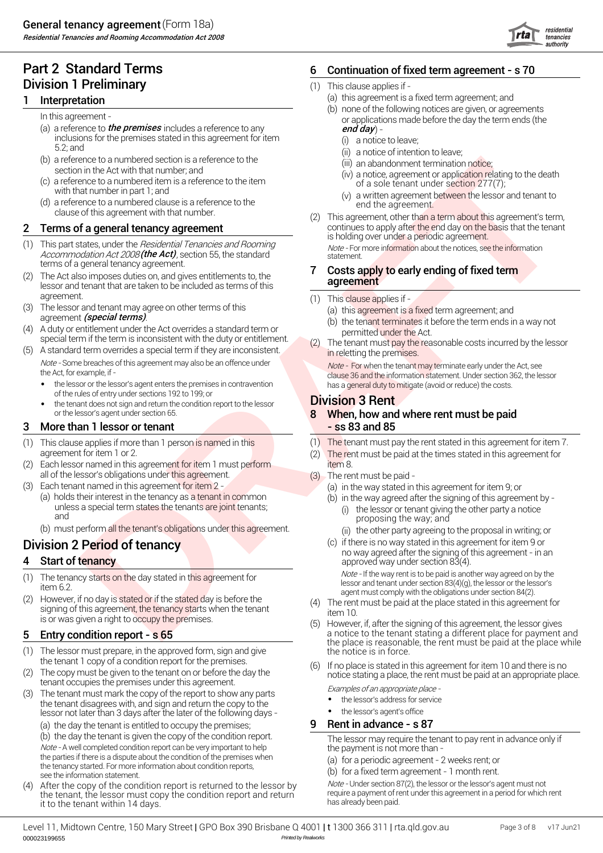Residential Tenancies and Rooming Accommodation Act 2008

## Part 2 Standard Terms 6 Division 1 Preliminary

#### Interpretation

- (a) a reference to *the premises* includes a reference to any **end day** has **end day** has **end day** and **end day** has a set of the premises includes a reference to any and  $\boldsymbol{g}$ inclusions for the premises stated in this agreement for item 5.2; and
- (b) a reference to a numbered section is a reference to the section in the Act with that number; and
- (c) a reference to a numbered item is a reference to the item with that number in part 1; and
- (d) a reference to a numbered clause is a reference to the clause of this agreement with that number.

#### Terms of a general tenancy agreement

- This part states, under the *Hesidential Tenancies and Hooming*<br>Accommodation Act 2008 **(the Act)**, section 55, the standard<br>terms of a general tenancy agreement. terms of a general tenancy agreement.<br>2 The Act also imposes duties on, and gives entitlements to, the Accommodation Act 2008 (the Act), section 55, the standard (1) This part states, under the Residential Tenancies and Rooming
- lessor and tenant that are taken to be included as terms of this agreement. (1) (1)
- $(3)$ agreement *(special terms)*.  $\begin{pmatrix} a & b \\ c & d \end{pmatrix}$  to the contract  $\begin{pmatrix} a & b \\ c & d \end{pmatrix}$  to the contract of  $\begin{pmatrix} a & b \\ d & d \end{pmatrix}$  to the contract of  $\begin{pmatrix} a & b \\ d & d \end{pmatrix}$  to the contract of  $\begin{pmatrix} a & b \\ d & d \end{pmatrix}$  to the co The lessor and tenant may agree on other terms of this
- (4) A duty or entitlement under the Act overrides a standard term or permitted under the Act.<br>special term if the term is inconsistent with the duty or entitlement. (2) The tenant must pay the rea A duty or entitlement under the Act overrides a standard term or
- (5) A standard term overrides a special term if they are inconsistent. Note - Some breaches of this agreement may also be an offence under
	- of the rules of entry under sections 192 to 199; or
	- the tenant does not sign and return the condition report to the lessor **Division 3 Rent** or the lessor's agent under section 65. 8

#### 3 More than 1 lessor or tenant that the state of the state state state state state state state state state state state state state state state state state state state state state state state state state state state state s

- (1) agreement for item 1 or 2. (2) (2) This clause applies if more than 1 person is named in this
- (2) Each lessor named in this agreement for item 1 must perform **the computation item** 8. all of the lessor's obligations under this agreement. (3)
- (3) Each tenant named in this agreement for item 2 All and the state of all item  $(2)$ 
	- (a) holds their interest in the tenancy as a tenant in common unless a special term states the tenants are joint tenants; and
	- (b) must perform all the tenant's obligations under this agreement.

## Division 2 Period of tenancy

#### Start of tenancy

- (1) item 6.2. The tenancy starts on the day stated in this agreement for
- (2) However, if no day is stated or if the stated day is before the However, if no day is stated or if the stated day is before the tenant (4)<br>signing of this agreement, the tenancy starts when the tenant is or was given <sup>a</sup> right to occupy the premises. (5)

#### 5 Entry condition report - s 65

- (1) the tenant 1 copy of a condition report for the premises.  $(6)$ The lessor must prepare, in the approved form, sign and give
- (2) The copy must be given to the tenant on or before the day the
- (3) the tenant disagrees with, and sign and return the copy to the lessor not later than 3 days after the later of the following days - The tenant must mark the copy of the report to show any parts

(a) the day the tenant is entitled to occupy the premises; Note - A well completed condition report can be very important to help the parties if there is a dispute about the condition of the premises when the tenancy started. For more information about condition reports, see the information statement.

(4) After the copy of the condition report is returned to the lessor by the tenant, the lessor must copy the condition report and return it to the tenant within 14 days.

## Continuation of fixed term agreement - s 70

- (1) This clause applies if -
	- (a) this agreement is a fixed term agreement; and
- (b) none of the following notices are given, or agreements In this agreement - or and process are given, or agreement - or applications made before the day the term ends (the
	- (i) a notice to leave;
	- (ii) a notice of intention to leave;
	- (iii) an abandonment termination notice;
	- (iv) a notice, agreement or application relating to the death of a sole tenant under section 277(7);
	- (v) a written agreement between the lessor and tenant to end the agreement.
- exact the anti-best and the time of the state of the state of the state of the state of the state of the state of the state of the state of the state of the state of the state of the state of the state of the state of the **2 Terms of a general tenancy agreement 2** continues to apply after the end day on the basis that the tenant is holding over under a periodic agreement. (2) This agreement, other than a term about this agreement's term,

#### Costs apply to early ending of fixed term agreement

- $(1)$  This clause applies if -
	- (a) this agreement is a fixed term agreement; and
	- (b) the tenant terminates it before the term ends in a way not
- in reletting the premises. The tenant must pay the reasonable costs incurred by the lessor

Note - Some breaches of this agreement may also be an offence under<br>the Act, for example, if - Note - For when the tenant may terminate early under the Act, see<br>clause 36 and the information statement. Under section 362, t The Act, for example, if  $\cdot$  the lessor's agent enters the premises in contravention and the costs of the information statement. Under section 362, the lessor  $\cdot$  the lessor or the lessor's agent enters the premises in c

# When, how and where rent must be paid

- (1) The tenant must pay the rent stated in this agreement for item 7.
- The rent must be paid at the times stated in this agreement for
- The rent must be paid
	- (a) in the way stated in this agreement for item 9; or
	- (i) the lessor or tenant giving the other party a notice proposing the way; and (b) in the way agreed after the signing of this agreement by -
		- (ii) the other party agreeing to the proposal in writing; or
	- no way agreed after the signing of this agreement in an approved way under section 83(4). if there is no way stated in this agreement for item 9 or

Note - If the way rent is to be paid is another way agreed on by the lessor and tenant under section 83(4)(g), the lessor or the lessor's agent must comply with the obligations under section 84(2).

- item 10. The rent must be paid at the place stated in this agreement for
- However, if, after the signing of this agreement, the lessor gives a notice to the tenant stating a different place for payment and the place is reasonable, the rent must be paid at the place while the notice is in force.
- If no place is stated in this agreement for item 10 and there is no The copy must be given to the tenant on or before the day the the rent must be paid at an appropriate place.<br>The rent occupies the premises under this agreement. Examples of an appropriate place -
	- the lessor's address for service
	- the lessor's agent's office

#### Rent in advance - s 87

(b) the day the tenant is given the copy of the condition report.<br>
Note - A well completed condition report can be very important to help<br>
the payment is not more than -

- (a) for a periodic agreement 2 weeks rent; or
- (b) for a fixed term agreement 1 month rent.

Note - Under section 87(2), the lessor or the lessor's agent must not require a payment of rent under this agreement in a period for which rent has already been paid.

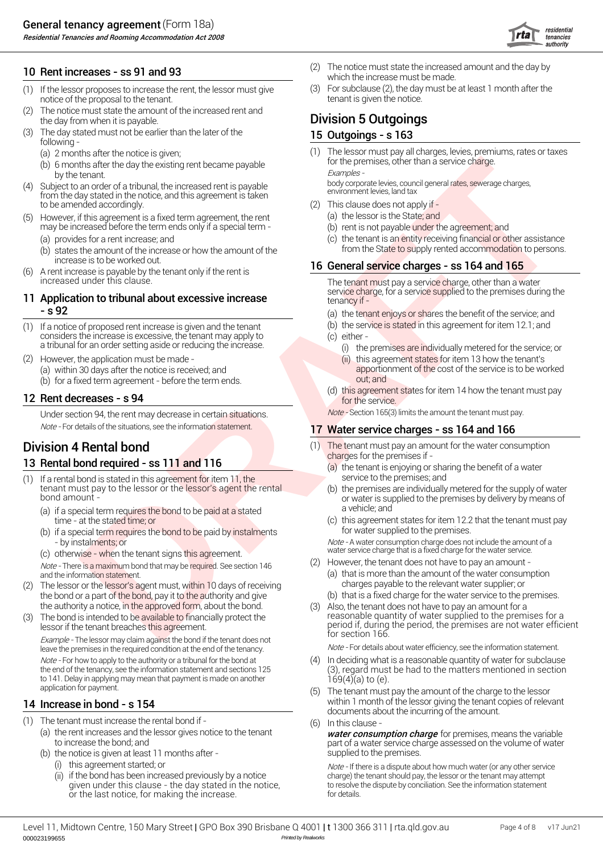Residential Tenancies and Rooming Accommodation Act 2008

- (1) If the lessor proposes to increase the rent, the lessor must give  $(3)$ notice of the proposal to the tenant. The proposal to the tenant is given the notice.
- (2) the day from when it is payable. **Division 5 Outgoings** The notice must state the amount of the increased rent and
- (3) The day stated must not be earlier than the later of the  $\overline{\phantom{a}}$  15 Ou following -
	- (a)  $2$  months after the notice is given;  $(1)$
	- (b) 6 months after the day the existing rent became payable for the premises, other than a service charge.
- (4) Subject to an order of a tribunal, the increased rent is payable from the day stated in the notice, and this agreement is taken to be amended accordingly.
- (5) However, if this agreement is a fixed term agreement, the rent (a) t may be increased before the term ends only if a special term -
	- (a) provides for a rent increase; and (c) t
	- increase is to be worked out.<br>A rent increase is payable by the tenant only if the rent is  $\begin{array}{r} \textbf{16} \textbf{G} \textbf{G} \end{array}$
- (6) increased under this clause.

# **- s 92** (a) t

- (b) (1) If a notice of proposed rent increase is given and the tenant considers the increase is excessive, the tenant may apply to a tribunal for an order setting aside or reducing the increase.
- (2) However, the application must be made The Contract of Contract Contract Contract Contract Contract Contract Contract Contract Contract Contract Contract Contract Contract Contract Contract Contract Contract Contract (a) within 30 days after the notice is received; and **the notice is received; and** apportionm<br>(b) for a fixed term agreement - before the term ends. With a sout; and

## 12 **Rent decreases - s 94 CONSIDERED ASSES** (d) this agreement of the service.

Under section 94, the rent may decrease in certain situations. Note-Section 165(3) limits the amount the tenant must pay. Note - For details of the situations, see the information statement.

# **13 Rental bond required - ss 111 and 116** Charges for the premises if -<br>(a) the tenant is enjoying or sh

- (1) If a rental bond is stated in this agreement for item 11, the service to the premises; and tenant must pay to the lessor or the lessor's agent the rental bond amount -
	- (a) if a special term requires the bond to be paid at a stated **come a** vehicle; and time - at the stated time; or
	- (b) if a special term requires the bond to be paid by instalments for water supplied to the premises.
	- (c) otherwise when the tenant signs this agreement.

Note - There is a maximum bond that may be required. See section 146

- (2) The lessor or the lessor's agent must, w<mark>ithin 1</mark>0 days of receiving resonance tharges payable to the relevant water supplier; or the bond or a part of the bond, pay it to the authority and give the authority a notice, in the approved form, about the bond.
- (3) The bond is intended to be available to financially protect the lessor if the tenant breaches this agreement.

Example - The lessor may claim against the bond if the tenant does not leave the premises in the required condition at the end of the tenancy. Note - For details about water efficiency, see the information statement. Note - For how to apply to the authority or a tribunal for the bond at the end of the tenancy, see the information statement and sections 125 to 141. Delay in applying may mean that payment is made on another application for payment.

## 14 Increase in bond - s 154

- (1) The tenant must increase the rental bond if
	- to increase the bond; and (a) the rent increases and the lessor gives notice to the tenant
	- (b) the notice is given at least 11 months after
		- (i) this agreement started; or
		- (ii) if the bond has been increased previously by a notice given under this clause - the day stated in the notice, or the last notice, for making the increase.
- 10 **Rent increases ss 91 and 93** (2) The notice must state the increased **10** Rent increases and the increased which the increase must be made. (2) The notice must state the increased amount and the day by which the increase must be made.
	- For subclause (2), the day must be at least 1 month after the

#### 15 Outgoings - s 163

by the tenant.<br>
bigect to an order of a tribunal, the increased rent is payable<br>
the day stated in the potice and this acrooment is taken environment levies, land tax The lessor must pay all charges, levies, premiums, rates or taxes for the premises, other than a service charge.

- (2) This clause does not apply if
	- (a) the lessor is the State; and
	- (b) rent is not payable under the agreement; and
- (b) states the amount of the increase or how the amount of the state to supply rented accommodation to persons. (c) the tenant is an entity receiving financial or other assistance from the State to supply rented accommodation to persons.

#### 16 General service charges - ss 164 and 165

The tenant must pay a service charge, other than a water<br>service charge, for a service supplied to the premises during the **11 Application to tribunal about excessive increase 11 tenancy if -** Applied to the premises during the 11 **Application to tribunal about excessive increase** 

(a) the tenant enjoys or shares the benefit of the service; and

- (b) the service is stated in this agreement for item  $12.1$ ; and
- (c) either
	- (i) the premises are individually metered for the service; or (ii) this agreement states for item 13 how the tenant's
- (a) within 30 days after the notice is received; and<br>(b) for a fixed term agreement before the term ends out: and out: and
	- (d) this agreement states for item 14 how the tenant must pay

#### 17 Water service charges - ss 164 and 166

- **Division 4 Rental bond** (1) The tenant must pay an ame (1) The tenant must pay an amount for the water consumption
	- (a) the tenant is enjoying or sharing the benefit of a water service to the premises; and
	- (b) or water is supplied to the premises by delivery by means of<br>a vehicle; and the premises are individually metered for the supply of water
	- $\sigma$  this agreement states for item 12.2 that the tenant must pay

- by instalments; or Note - A water consumption charge does not include the amount of a water service charge that is a fixed charge for the water service.

- (2) However, the tenant does not have to pay an amount -(a) that is more than the amount of the water consumption
- and the information statement.<br>The lessor or the lessor's agent must within 10 days of receiving and the information state supplier; or the lessor or the lessor's agent must within 10 days of receiving
	- (b) that is a fixed charge for the water service to the premises.
- For the material control of the planet and state in the state of the state of the state of the state of the state of the state of the state of the state of the state of the state of the state of the state of the state of Also, the tenant does not have to pay an amount for a reasonable quantity of water supplied to the premises for a period if, during the period, the premises are not water efficient for section 166.

- In deciding what is a reasonable quantity of water for subclause (3), regard must be had to the matters mentioned in section  $169(4)(a)$  to (e).
- within 1 month of the lessor giving the tenant copies of relevant documents about the incurring of the amount. The tenant must pay the amount of the charge to the lessor
- (6) In this clause -

(a) the rent increases and the lessor gives notice to the tenant **water consumption charge** for premises, means the variable part of a water service charge assessed on the volume of water supplied to the premises.

> Note - If there is a dispute about how much water (or any other service charge) the tenant should pay, the lessor or the tenant may attempt to resolve the dispute by conciliation. See the information statement for details.

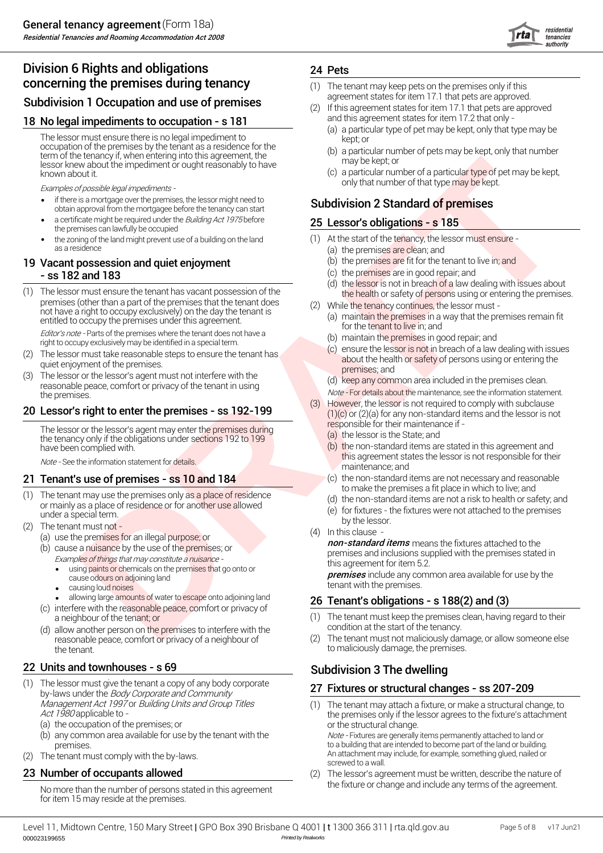## Division 6 Rights and obligations **concerning the premises during tenancy**<br>
(1) The tenant may keep pets on the premises only if this<br> **Cub division 1 Occur ation** and use of nuclear to premise a supproved. Subdivision 1 Occupation and use of premises

#### 18 No legal impediments to occupation - s 181 and this agreement states for item 17.2 that only -

The lessor must ensure there is no legal impediment to occupation of the premises by the tenant as a residence for the term of the tenancy if, when entering into this agreement, the lessor knew about the impediment or ought reasonably to have known about it.

- if there is a mortgage over the premises, the lessor might need to **Subdivision 2 Standard of premises**<br>obtain approval from the mortgagee before the tenancy can start **Subdivision 2 Standard of premises** • if there is a mortgage over the premises, the lessor might need to
- a certificate might be required under the *Building Act 1975* before 25 Let the premises can lawfully be occupied
- the zoning of the land might prevent use of a building on the land  $(1)$ as a residence

#### 19 Vacant possession and quiet enjoyment  $(5)$  t (c) - ss 182 and 183

example, the material particular control in the state of control of the state of the state of the state of the state of the state of the state of the state of the state of the state of the state of the state of the state o The lessor must ensure the tenant has vacant possession of the  $\frac{1}{2}$  the health or safety of persons using or entering the premises.<br>premises (other than a part of the premises that the tenant does  $\frac{1}{2}$  while the not have a right to occupy exclusively) on the day the tenant is entitled to occupy the premises under this agreement. The lessor must ensure the tenant has vacant possession of the

Editor's note - Parts of the premises where the tenant does not have a right to occupy exclusively may be identified in a special term.

- quiet enjoyment of the premises. The lessor must take reasonable steps to ensure the tenant has
- (3) The lessor or the lessor's agent must not interfere with the reasonable peace, comfort or privacy of the tenant in using<br>the premises.

The lessor or the lessor's agent may enter the premises during responsible for their maintenance if the tenancy only if the obligations under sections 192 to 199 have been complied with.

#### **21 Tenant's use of premises - ss 10 and 184**  $\qquad \qquad$  (c) t

- (1) The tenant may use the premises only as a place of residence or mainly as a place of residence or for another use allowed under a special term. (e) for fixtures - t<br>by the lessor.
- by the lessor.<br>
(2) The tenant must not the character of the lessor.<br>
(4) In this clause
	- (a) use the premises for an illegal purpose; or
	- Examples of things that may constitute <sup>a</sup> nuisance (b) cause a nuisance by the use of the premises; or
		- this agreement for item 5.2.<br>• using paints or chemicals on the premises that go onto or **remises** that go onto or tensive original tensive on adjoining land<br>tenant with the premises.
		- causing loud noises
		- allowing large amounts of water to escape onto adjoining land  $26 \text{ Te}$
	- (c) interfere with the reasonable peace, comfort or privacy of a neighbour of the tenant; or (1) The tenant must keep the premises<br>allow another person on the premises to interfere with the condition at the start of the tenancy.
	- (d) allow another person on the premises to interfere with the condition at the start of the tenancy. reasonable peace, comfort or privacy of a neighbour of (2) the tenant. The tenant to maliciously damage, the premises.

#### Units and townhouses - s 69

- (1) The lessor must give the tenant a copy of any body corporate **27 Fix**<br>by-laws under the *Body Corporate and Community* Management Act 1997 or Building Units and Group Titles (1)<br>Act 1980 applicable to -
	- (a) the occupation of the premises; or the structural change.
	-
- (2) The tenant must comply with the by-laws.

#### **23 Number of occupants allowed** (2) (2)

for item 15 may reside at the premises.

#### 24 Pets

- (1) The tenant may keep pets on the premises only if this
- If this agreement states for item 17.1 that pets are approved
	- kept; or (a) a particular type of pet may be kept, only that type may be
	- (b) a particular number of pets may be kept, only that number may be kept; or
- (c) a particular number of a particula<mark>r type o</mark>f pet may be kept, Examples of possible legal impediments -

#### 25 Lessor's obligations - s 185

- (1) At the start of the tenancy, the lessor must ensure -
	- (a) the premises are clean; and
	- (b) the premises are fit for the tenant to live in; and
	- (c) the premises are in good repair; and
	- (d) the lessor is not in breach of a law dealing with issues about
- (2) While the tenancy continues, the lessor must -
	- (a) maintain the premises in a way that the premises remain fit for the tenant to live in; and
	- (b) maintain the premises in good repair; and
	- (c) ensure the lessor is not in breach of a law dealing with issues about the health or safety of persons using or entering the premises; and
	- (d) keep any common area included in the premises clean.
- Note For details about the maintenance, see the information statement.<br>(3) However, the lessor is not required to comply with subclause **20 Lessor's right to enter the premises - ss 192-199** (3) However, the lessor is not required to comply with subclause  $(1)(c)$  or  $(2)(a)$  for any non-standard items and the lessor is not However, the lessor is not required to comply with subclause  $(1)(c)$  or  $(2)(a)$  for any non-standard items and the lessor is not
	- (a) the lessor is the State; and
	- (b) the non-standard items are stated in this agreement and Note - See the information statement for details. This agreement states the lessor is not responsible for their maintenance; and
		- to make the premises a fit place in which to live; and the non-standard items are not necessary and reasonable
		- (d) the non-standard items are not a risk to health or safety; and
		- (e) for fixtures the fixtures were not attached to the premises
		- (4) In this clause -

(a) use the premises for an illegal purpose; or<br>(b) equals a purpose by the use of the promises: or **non-standard items** means the fixtures attached to the premises and inclusions supplied with the premises stated in this agreement for item 5.2.

cause odours on adjoining land<br>cause odours on adjoining land

#### Tenant's obligations - s 188(2) and (3)

- The tenant must keep the premises clean, having regard to their
- The tenant must not maliciously damage, or allow someone else

#### Subdivision 3 The dwelling

#### Fixtures or structural changes - ss 207-209

- the premises only if the lessor agrees to the fixture's attachment<br>or the structural change. (b) any common area available for use by the tenant with the *Note -* Fixtures are generally items permanently attached to land or premises.<br>
premises. to a building that are intended to become part of the land or building.<br>
An attachment may include, for example, something glued, nailed or<br>
screwed to a wall. The tenant may attach a fixture, or make a structural change, to
- No more than the number of persons stated in this agreement the fixture or change and include any terms of the agreement. The lessor's agreement must be written, describe the nature of

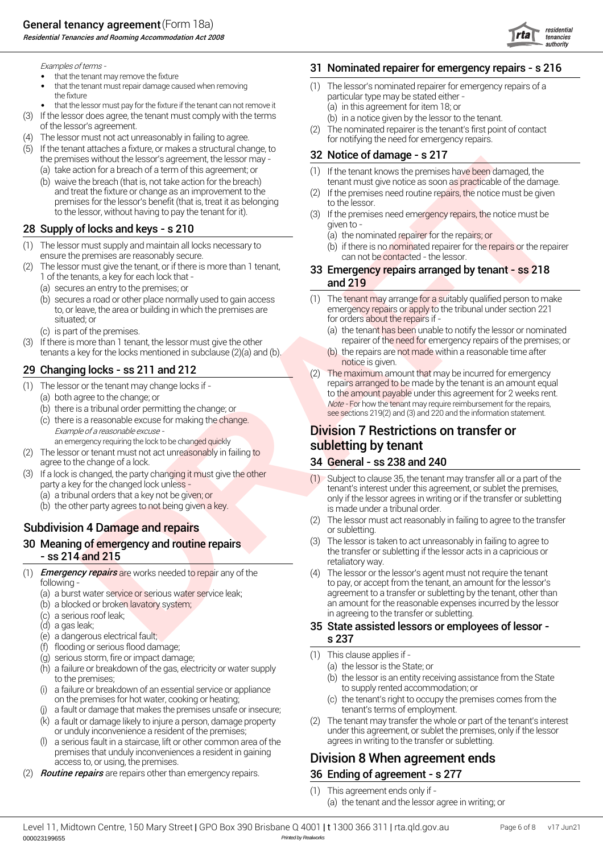Residential Tenancies and Rooming Accommodation Act 2008



Examples of terms - 31

- that the tenant may remove the fixture
- that the tenant must repair damage caused when removing (1) (1) the fixture particular type may be stated either -
- that the lessor must pay for the fixture if the tenant can not remove it (a) in
- (3) If the lessor does agree, the tenant must comply with the terms (b) in
- (4) The lessor must not act unreasonably in failing to agree.  $\hskip1cm$  for notifying the need for emergency repairs.
- the premises without the lessor's agreement, the lessor may - $(5)$  If the tenant attaches a fixture, or makes a structural change, to
	- (a) (1) take action for a breach of a term of this agreement; or
	- and treat the fixture or change as an improvement to the (2) premises for the lessor's benefit (that is, treat it as belonging to the lessor to the lessor, without having to pay the tenant for it). (b) waive the breach (that is, not take action for the breach)

#### 28 Supply of locks and keys - s 210  $\frac{1}{2}$  given to -

- (1) The lessor must supply and maintain all locks necessary to  $\qquad \qquad \textrm{(b)}$  if ensure the premises are reasonably secure. Can not be contacted - the lessor.
- (2) The lessor must give the tenant, or if there is more than 1 tenant,  $\overline{33}$  En 1 of the tenants, a key for each lock that - **and 219** 
	- (a) secures an entry to the premises; or
	- (b) secures a road or other place normally used to gain access  $(1)$ situated; or **for orders about the repairs if -** for orders about the repairs if -
	- (c) is part of the premises. (a) t
- (3) If there is more than 1 tenant, the lessor must give the other repairer of the need for emergency repairs of the premises; or tenants a key for the locks mentioned in subclause  $(2)(a)$  and  $(b)$ .

# notice is given. <sup>29</sup> (2) Changing locks - ss 211 and 212

- $(1)$  The lessor or the tenant may change locks if -
	- (a) both agree to the change; or
	- $(b)$  there is a tribunal order permitting the change; or
	- $(c)$  there is a reasonable excuse for making the change.
- an emergency requiring the lock to be changed quickly subsection of the lessor or tenant must not act unreasonably in failing to **subletting by tenant** agree to the change of a lock.
- (3) If a lock is changed, the party changing it must give the other
	- (b) the other party agrees to not being given a key. (a) a tribunal orders that a key not be given; or

#### **Subdivision 4 Damage and repairs Container and Subdivision 4 Damage and repairs** or subletting.

# 30 Meaning of emergency and routine repairs (3) 30 Meaning of emergency and routine repairs

- (1) Emergency repairs are works needed to repair any of the
	- (a) a burst water service or serious water service leak;
	- (b) a blocked or broken lavatory system;
	- (c) a serious roof leak;
	- (d) a gas leak; **35 St**
	- (e) s 237 a dangerous electrical fault;
	- (f) flooding or serious flood damage;
	- (g) serious storm, fire or impact damage;
	- $(h)$  a failure or breakdown of the gas, electricity or water supply  $(a)$  t
	- (i) a failure or breakdown of an essential service or appliance the supply rented accommodation; or
	- (j) a fault or damage that makes the premises unsafe or insecure; tenant's terms of employment.
	- (k) a fault or damage likely to injure a person, damage property  $\qquad \qquad (2)$
	- (l) a serious fault in a staircase, lift or other common area of the agrees in writing to the transfer or subletting. premises that unduly inconveniences a resident in gaining
- (2) **Routine repairs** are repairs other than emergency repairs. **36 En**

#### Nominated repairer for emergency repairs - s 216

- The lessor's nominated repairer for emergency repairs of a (a) in this agreement for item 18; or
	- (b) in a notice given by the lessor to the tenant.
- of the lessor's agreement.<br>
The nominated repairer is the tenant's first p<br>
The nominated repairer is the tenant's first p<br>
for notifying the need for emergency repairs. The nominated repairer is the tenant's first point of contact

#### 32 Notice of damage - s 217

- tenant must give notice as soon as practicable of the damage. (1) If the tenant knows the premises have been damaged, the
- If the premises need routine repairs, the notice must be given
- (3) If the premises need emergency repairs, the notice must be
	- (a) the nominated repairer for the repairs; or
	- (b) if there is no nominated repairer for the repairs or the repairer

# 33 Emergency repairs arranged by tenant - ss 218

- to, or leave, the area or building in which the premises are emergency repairs or apply to the tribunal under section 221  $(1)$  The tenant may arrange for a suitably qualified person to make
	- (a) the tenant has been unable to notify the lessor or nominated
	- (b) the repairs are not made within a reasonable time after
- (1) The lessor or the tenant may change locks if -<br>
(a) both agree to the change; or<br>
(b) there is a tribunal order permitting the change; or<br>
(c) there is a reasonable excuse for making the change.<br>
(c) there is a reasona The maximum amount that may be incurred for emergency<br>repairs arranged to be made by the tenant is an amount equal

# Example of a reasonable excuse - **Division 7 Restrictions on transfer or Division 7 Restrictions on transfer or**

#### General - ss 238 and 240

- party a key for the changed lock unless -<br>tenant's interest under this agreement, or sublet the premises, only if the lessor agrees in writing or if the transfer or subletting is made under a tribunal order. Subject to clause 35, the tenant may transfer all or a part of the
	- The lessor must act reasonably in failing to agree to the transfer
- the transfer or subletting if the lessor acts in a capricious or ss 214 and 215 retaliatory way. The lessor is taken to act unreasonably in failing to agree to
- Second a strengthenia strengthenia strengthenia strengthenia strengthenia strengthenia strengthenia strengthenia strengthenia strengthenia strengthenia strengthenia strengthenia strengthenia strengthenia strengthenia stren following - to pay, or accept from the tenant, an amount for the lessor's agreement to a transfer or subletting by the tenant, other than an amount for the reasonable expenses incurred by the lessor in agreeing to the transfer or subletting. (4) The lessor or the lessor's agent must not require the tenant

# State assisted lessors or employees of lessor -

- (1) This clause applies if
	- (a) the lessor is the State; or
- to the premises;<br>a failure or breakdown of an essential service or appliance to the lessor is an entity receiving assis<br>to supply rented accommodation; or (b) the lessor is an entity receiving assistance from the State
- on the premises for hot water, cooking or heating; (c) the tenant's right to occupy the a fault or damage that makes the premises unsafe or insecure; (c) the tenant's terms of employment. (c) the tenant's right to occupy the premises comes from the
- or unduly inconvenience a resident of the premises; under this agreement, or sublet the premises, only if the lessor The tenant may transfer the whole or part of the tenant's interest

## Division 8 When agreement ends.

#### Ending of agreement - s 277

- (1) This agreement ends only if -
	- (a) the tenant and the lessor agree in writing; or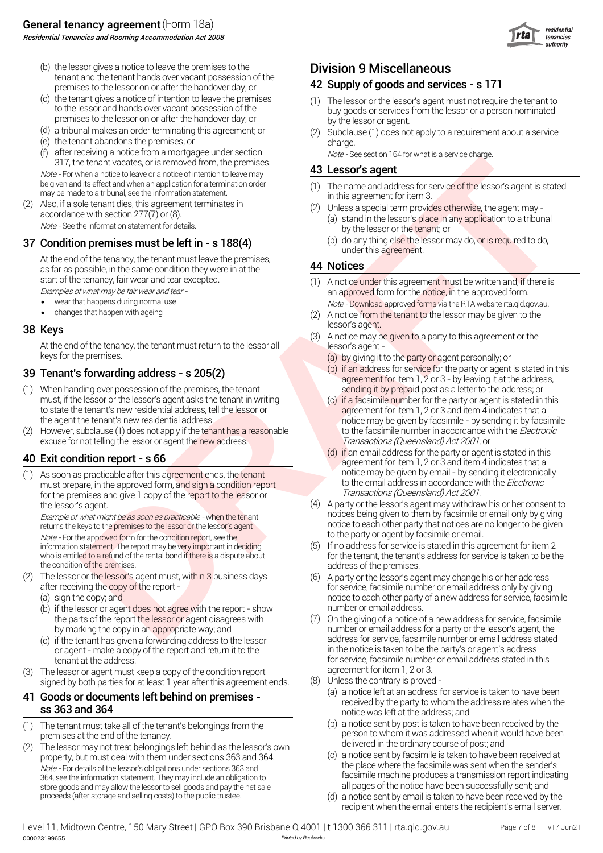

- (b) the lessor gives a notice to leave the premises to the  $\blacksquare$  Division 9 Miscellaneous tenant and the tenant hands over vacant possession of the premises to the lessor on or after the handover day; or
- (c) the tenant gives a notice of intention to leave the premises premises to the lessor on or after the handover day; or by the lessor or agent.
- (d) a tribunal makes an order terminating this agreement; or
- (e) charge. the tenant abandons the premises; or
- (f) after receiving a notice from a mortgagee under section  $\omega$  or  $\epsilon$  See section 164 for what is a service charge.<br>317, the tenant vacates, or is removed from, the premises.<br>43 Lessor's agent after receiving a notice from a mortgagee under section

be given and its effect and when an application for a termination order (1) The name and address for s<br>may be made to a tribunal, see the information statement. in this agreement for item 3.

(2) Also, if a sole tenant dies, this agreement terminates in accordance with section 277(7) or (8).<br>
Mote - See the information statement for details. (a) stand in the lessor's place in a<br>
by the lessor or the tenant; or

#### 37 Condition premises must be left in - s 188(4)  $\qquad \qquad ^{(b)}$

At the end of the tenancy, the tenant must leave the premises, as far as possible, in the same condition they were in at the start of the tenancy, fair wear and tear excepted.<br>Examples of what may be fair wear and tear -

- wear that happens during normal use
- changes that happen with ageing example of the changes that happen with ageing  $(2)$

#### 38 Keys

At the end of the tenancy, the tenant must return to the lessor all lessor's agent keys for the premises.

### 39 Tenant's forwarding address - s 205(2)  $\qquad \qquad ^{(b)}$

- (1) When handing over possession of the premises, the tenant sending it by prepaid post as a letter to the address; or must, if the lessor or the lessor's agent asks the tenant in writing<br>to state the tenant's new residential address, tell the lessor or to state the tenant's new residential address, tell the lessor or agreement for item 1, 2 or 3 and item 4 indicates that a<br>the agent the tenant's new residential address.
- (2) However, subclause (1) does not apply if the tenant has a reasonable to the facsimile number in accordance with the *Electronic* excuse for not telling the lessor or agent the new address. Transactions (Queensland) Act 2001; or

#### Exit condition report - s 66

notice may be given by email - by sending it electronically (1) As soon as practicable after this agreement ends, the tenant must prepare, in the approved form, and sign a condition report for the premises and give 1 copy of the report to the lessor or the lessor's agent.

Note - For the approved form for the condition report, see the information statement. The report may be very important in deciding<br>who is entitled to a refund of the rental bond if there is a dispute about the condition of the premises. The condition of the premises.

- (2) The lessor or the lessor's agent must, wi<mark>thin 3</mark> business days  $\qquad \qquad (6)$ 
	- (a) sign the copy; and
	- (b) if the lessor or agent does not agree with the report show humber or email address. the parts of the report the lessor or agent disagrees with
	-
- agreement for item 1, 2 or 3. (3) The lessor or agent must keep a copy of the condition report signed by both parties for at least 1 year after this agreement ends. (8)

- (1) The tenant must take all of the tenant's belongings from the
- delivered in the ordinary course of post; and (2) The lessor may not treat belongings left behind as the lessor's own property, but must deal with them under sections 363 and 364.<br>the place where the facsimile was sent when the sender's Note - For details of the lessor's obligations under sections 363 and 364, see the information statement. They may include an obligation to store goods and may allow the lessor to sell goods and pay the net sale proceeds (after storage and selling costs) to the public trustee. (d)

#### 42 Supply of goods and services - s 171

- the tenant gives a notice of intention to leave the premises (1) The lessor or the lessor's agent must not require the tenant to<br>to the lessor and hands over vacant possession of the same buy goods or services from the les
	- (2) Subclause (1) does not apply to a requirement about a service

#### Lessor's agent

- (1) The name and address for service of the lessor's agent is stated
- Unless a special term provides otherwise, the agent may (a) stand in the lessor's place in any application to a tribunal
	- under this agreement. (b) do any thing else the lessor may do, or is required to do,

#### 44 Notices

- an approved form for the notice, in the approved form. Note - Download approved forms via the RTA website rta.qld.gov.au. (1) A notice under this agreement must be written and, if there is
- lessor's agent.<br>**38 Keys lessor's agent.** (2) A notice from the tenant to the lessor may be given to the
	- (3) A notice may be given to a party to this agreement or the
		- (a) by giving it to the party or agent personally; or
		- agreement for item 1, 2 or 3 by leaving it at the address, (b) if an address for service for the party or agent is stated in this
- The term value of the strength of the term is the strength of the strength of the strength of the strength of the strength of the strength of the strength of the strength of the strength of the strength of the strength of notice may be given by facsimile - by sending it by facsimile<br>to the facsimile number in accordance with the *Electronic* (c) if a facsimile number for the party or agent is stated in this
	- agreement for item 1, 2 or 3 and item 4 indicates that a<br>notice may be given by email by sending it electronically to the email address in accordance with the *Electronic*<br>Transactions (Queensland) Act 2001.  $(d)$  if an email address for the party or agent is stated in this
	- Example of what might be as soon as practicable when the tenant<br>returns the keys to the premises to the lessor or the lessor's agent notice to each other party that notices are no longer to be given notice to each other party that notices are no longer to be given<br>to the party or agent by facsimile or email. A party or the lessor's agent may withdraw his or her consent to
		- for the tenant, the tenant's address for service is taken to be the If no address for service is stated in this agreement for item 2
	- after receiving the copy of the report for service, facsimile number or email address only by giving notice to each other party of a new address for service, facsimile<br>number or email address. A party or the lessor's agent may change his or her address
	- by marking the copy in an appropriate way; and number or email address for a party or the lessor's agent, the interess for service, facsimile number or email address stated if the tenant has given a forwarding address to t (c) if the tenant has given a forwarding address to the lessor and address for service, facsimile number or email address stated or agent - make a copy of the report and return it to the in the notice is taken to be the party's or agent's address tenant at the address.<br>
	I have a convention the condition report and the address stated in this agreement for item 1, 2 or 3. On the giving of a notice of a new address for service, facsimile
		- Unless the contrary is proved -
- 41 Goods or documents left behind on premises -<br>
received by the party to whom the address relates when the sold and 364 set of the party to whom the address relates when the set 363 and 364 notice was left at the address; and (a) a notice left at an address for service is taken to have been
	- (b) a notice sent by post is taken to have been received by the premises at the end of the tenancy.<br>The lessor may not treat belongings left behind as the lessor's own delivered in the ordinary course of post; and
		- facsimile machine produces a transmission report indicating<br>all pages of the notice have been successfully sent; and a notice sent by facsimile is taken to have been received at
		- recipient when the email enters the recipient's email server. a notice sent by email is taken to have been received by the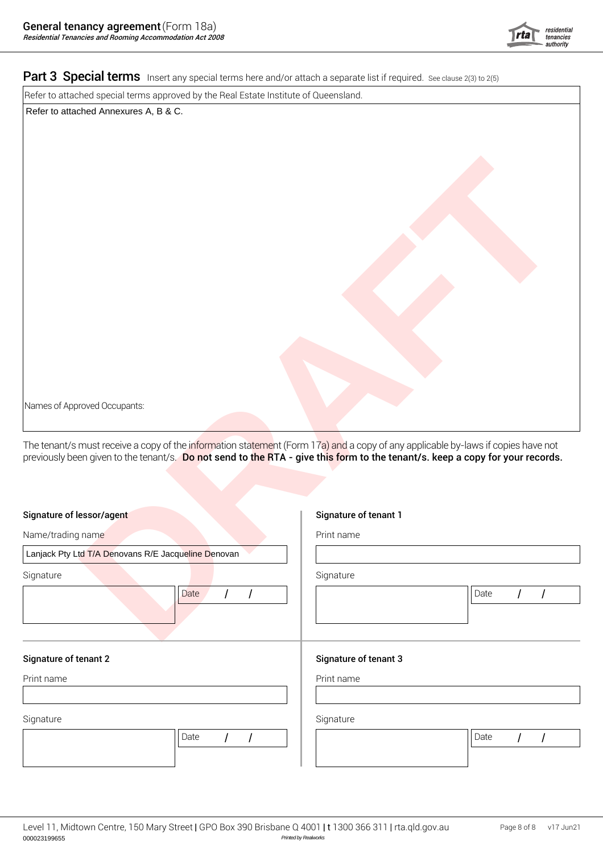

#### Part 3 Special terms Insert any special terms here and/or attach a separate list if required. See clause 2(3) to 2(5)

Refer to attached special terms approved by the Real Estate Institute of Queensland.

Refer to attached Annexures A, B & C.

| Names of Approved Occupants:                                                                                                                                                                                                      |                        |
|-----------------------------------------------------------------------------------------------------------------------------------------------------------------------------------------------------------------------------------|------------------------|
| The tenant/s must receive a copy of the information statement (Form 17a) and a copy of any applicable by-laws if copies have not<br>previously been given to the tenant/s. Do not send to the RTA - give this form to the tenant/ |                        |
| Signature of lessor/agent                                                                                                                                                                                                         | Signature of tenant 1  |
| Name/trading name                                                                                                                                                                                                                 | Print name             |
| Lanjack Pty Ltd T/A Denovans R/E Jacqueline Denovan                                                                                                                                                                               |                        |
| Signature                                                                                                                                                                                                                         | Signature              |
| Date                                                                                                                                                                                                                              | Date                   |
| <b>Signature of tenant 2</b>                                                                                                                                                                                                      | Signature of tenant 3  |
| Print name                                                                                                                                                                                                                        | Print name             |
|                                                                                                                                                                                                                                   |                        |
| Signature                                                                                                                                                                                                                         | Signature              |
| Date<br>$\overline{I}$                                                                                                                                                                                                            | Date<br>$\overline{I}$ |
|                                                                                                                                                                                                                                   |                        |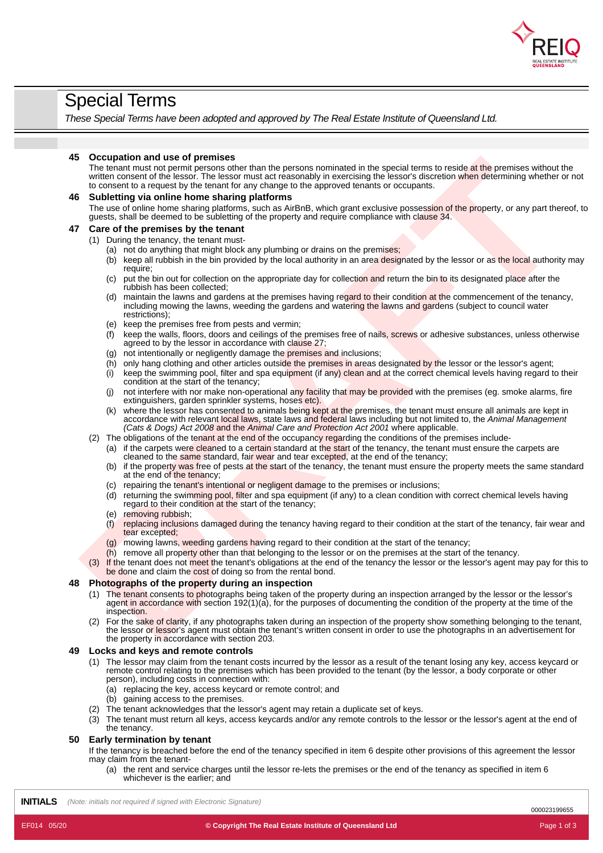

## Special Terms

*These Special Terms have been adopted and approved by The Real Estate Institute of Queensland Ltd.*

#### **45 Occupation and use of premises**

The tenant must not permit persons other than the persons nominated in the special terms to reside at the premises without the written consent of the lessor. The lessor must act reasonably in exercising the lessor's discretion when determining whether or not to consent to a request by the tenant for any change to the approved tenants or occupants.

# **Comptibion and use of premises by the the source periodic state is a special length and the source of the present of the source of the source of the source of the source of the source of the source of the source of the so 46 Subletting via online home sharing platforms** The use of online home sharing platforms, such as AirBnB, which grant exclusive possession of the property, or any part thereof. to guests, shall be deemed to be subletting of the property and require compliance with clause 34. **47 Care of the premises by the tenant**

#### (1) During the tenancy, the tenant must-

- (a) not do anything that might block any plumbing or drains on the premises;
- (b) keep all rubbish in the bin provided by the local authority in an area designated by the lessor or as the local authority may require;
- (c) put the bin out for collection on the appropriate day for collection and return the bin to its designated place after the rubbish has been collected;
- (d) maintain the lawns and gardens at the premises having regard to their condition at the commencement of the tenancy, including mowing the lawns, weeding the gardens and watering the lawns and gardens (subject to council water restrictions);
- (e) keep the premises free from pests and vermin;
- $\hat{f}$  keep the walls, floors, doors and ceilings of the premises free of nails, screws or adhesive substances, unless otherwise agreed to by the lessor in accordance with clause 27;
- (g) not intentionally or negligently damage the premises and inclusions;
- $(h)$  only hang clothing and other articles outside the premises in areas designated by the lessor or the lessor's agent;
- $(i)$  keep the swimming pool, filter and spa equipment (if any) clean and at the correct chemical levels having regard to their condition at the start of the tenancy;
- (j) not interfere with nor make non-operational any facility that may be provided with the premises (eg. smoke alarms, fire extinguishers, garden sprinkler systems, hoses etc).
- (k) where the lessor has consented to animals being kept at the premises, the tenant must ensure all animals are kept in accordance with relevant local laws, state laws and federal laws including but not limited to, the *Animal Management (Cats & Dogs) Act 2008* and the *Animal Care and Protection Act 2001* where applicable.
- (2) The obligations of the tenant at the end of the occupancy regarding the conditions of the premises include-
	- (a) if the carpets were cleaned to a certain standard at the start of the tenancy, the tenant must ensure the carpets are cleaned to the same standard, fair wear and tear excepted, at the end of the tenancy;
	- (b) if the property was free of pests at the start of the tenancy, the tenant must ensure the property meets the same standard at the end of the tenancy;
	- (c) repairing the tenant's intentional or negligent damage to the premises or inclusions;
	- (d) returning the swimming pool, filter and spa equipment (if any) to a clean condition with correct chemical levels having regard to their condition at the start of the tenancy;
	- (e) removing rubbish;
	- (f) replacing inclusions damaged during the tenancy having regard to their condition at the start of the tenancy, fair wear and tear excepted;
	- (g) mowing lawns, weeding gardens having regard to their condition at the start of the tenancy;
	- (h) remove all property other than that belonging to the lessor or on the premises at the start of the tenancy.
- If the tenant does not meet the tenant's obligations at the end of the tenancy the lessor or the lessor's agent may pay for this to be done and claim the cost of doing so from the rental bond.

#### **48 Photographs of the property during an inspection**

- (1) The tenant consents to photographs being taken of the property during an inspection arranged by the lessor or the lessor's agent in accordance with section 192(1)(a), for the purposes of documenting the condition of the property at the time of the inspection.
- (2) For the sake of clarity, if any photographs taken during an inspection of the property show something belonging to the tenant, the lessor or lessor's agent must obtain the tenant's written consent in order to use the photographs in an advertisement for the property in accordance with section 203.

#### **49 Locks and keys and remote controls**

- (1) The lessor may claim from the tenant costs incurred by the lessor as a result of the tenant losing any key, access keycard or remote control relating to the premises which has been provided to the tenant (by the lessor, a body corporate or other person), including costs in connection with:
	- (a) replacing the key, access keycard or remote control; and
	- (b) gaining access to the premises.
- (2) The tenant acknowledges that the lessor's agent may retain a duplicate set of keys.
- (3) The tenant must return all keys, access keycards and/or any remote controls to the lessor or the lessor's agent at the end of the tenancy.

#### **50 Early termination by tenant**

If the tenancy is breached before the end of the tenancy specified in item 6 despite other provisions of this agreement the lessor may claim from the tenant-

(a) the rent and service charges until the lessor re-lets the premises or the end of the tenancy as specified in item 6 whichever is the earlier; and

**INITIALS** *(Note: initials not required if signed with Electronic Signature)*

000023199655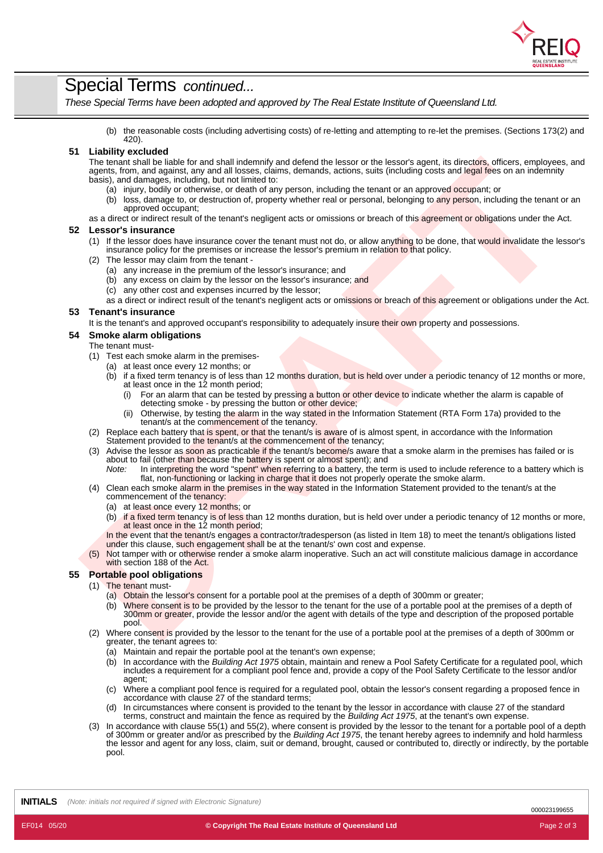

## Special Terms *continued...*

*These Special Terms have been adopted and approved by The Real Estate Institute of Queensland Ltd.*

(b) the reasonable costs (including advertising costs) of re-letting and attempting to re-let the premises. (Sections 173(2) and 420).

#### **51 Liability excluded**

The installation late late and state interaction and identifications and let easing the installations and the conservation of the installation installation in the installation of the installation installation in the instal The tenant shall be liable for and shall indemnify and defend the lessor or the lessor's agent, its directors, officers, employees, and agents, from, and against, any and all losses, claims, demands, actions, suits (including costs and legal fees on an indemnity basis), and damages, including, but not limited to:

- (a) injury, bodily or otherwise, or death of any person, including the tenant or an approved occupant; or
- (b) loss, damage to, or destruction of, property whether real or personal, belonging to any person, including the tenant or an approved occupant;

as a direct or indirect result of the tenant's negligent acts or omissions or breach of this agreement or obligations under the Act.

#### **52 Lessor's insurance**

- (1) If the lessor does have insurance cover the tenant must not do, or allow anything to be done, that would invalidate the lessor's
- insurance policy for the premises or increase the lessor's premium in relation to that policy.
- The lessor may claim from the tenant -
	- (a) any increase in the premium of the lessor's insurance; and
	- (b) any excess on claim by the lessor on the lessor's insurance; and
	- (c) any other cost and expenses incurred by the lessor;
	- as a direct or indirect result of the tenant's negligent acts or omissions or breach of this agreement or obligations under the Act.

#### **53 Tenant's insurance**

It is the tenant's and approved occupant's responsibility to adequately insure their own property and possessions.

#### **54 Smoke alarm obligations**

#### The tenant must-

- (1) Test each smoke alarm in the premises-
	- (a) at least once every 12 months; or
		- (b) if a fixed term tenancy is of less than 12 months duration, but is held over under a periodic tenancy of 12 months or more, at least once in the 12 month period;
			- (i) For an alarm that can be tested by pressing a button or other device to indicate whether the alarm is capable of detecting smoke - by pressing the button or other device;
			- (ii) Otherwise, by testing the alarm in the way stated in the Information Statement (RTA Form 17a) provided to the tenant/s at the commencement of the tenancy.
- (2) Replace each battery that is spent, or that the tenant/s is aware of is almost spent, in accordance with the Information Statement provided to the tenant/s at the commencement of the tenancy;
- (3) Advise the lessor as soon as practicable if the tenant/s become/s aware that a smoke alarm in the premises has failed or is about to fail (other than because the battery is spent or almost spent); and
	- *Note:* In interpreting the word "spent" when referring to a battery, the term is used to include reference to a battery which is flat, non-functioning or lacking in charge that it does not properly operate the smoke alarm.
- (4) Clean each smoke alarm in the premises in the way stated in the Information Statement provided to the tenant/s at the commencement of the tenancy:
	- (a) at least once every 12 months; or
	- (b) if a fixed term tenancy is of less than 12 months duration, but is held over under a periodic tenancy of 12 months or more, at least once in the 12 month period;

In the event that the tenant/s engages a contractor/tradesperson (as listed in Item 18) to meet the tenant/s obligations listed under this clause, such engagement shall be at the tenant/s' own cost and expense.

(5) Not tamper with or otherwise render a smoke alarm inoperative. Such an act will constitute malicious damage in accordance with section 188 of the Act.

#### **55 Portable pool obligations**

- (1) The tenant must-
	- (a) Obtain the lessor's consent for a portable pool at the premises of a depth of 300mm or greater;
	- (b) Where consent is to be provided by the lessor to the tenant for the use of a portable pool at the premises of a depth of 300mm or greater, provide the lessor and/or the agent with details of the type and description of the proposed portable pool.
- (2) Where consent is provided by the lessor to the tenant for the use of a portable pool at the premises of a depth of 300mm or greater, the tenant agrees to:
	- (a) Maintain and repair the portable pool at the tenant's own expense;
	- (b) In accordance with the *Building Act 1975* obtain, maintain and renew a Pool Safety Certificate for a regulated pool, which includes a requirement for a compliant pool fence and, provide a copy of the Pool Safety Certificate to the lessor and/or agent;
	- (c) Where a compliant pool fence is required for a regulated pool, obtain the lessor's consent regarding a proposed fence in accordance with clause 27 of the standard terms;
	- (d) In circumstances where consent is provided to the tenant by the lessor in accordance with clause 27 of the standard terms, construct and maintain the fence as required by the *Building Act 1975*, at the tenant's own expense.
- (3) In accordance with clause 55(1) and 55(2), where consent is provided by the lessor to the tenant for a portable pool of a depth of 300mm orgreater and/or as prescribed by the *Building Act 1975*, the tenant hereby agrees to indemnify and hold harmless the lessor and agent for any loss, claim, suit or demand, brought, caused or contributed to, directly or indirectly, by the portable pool.

**INITIALS** *(Note: initials not required if signed with Electronic Signature)*

000023199655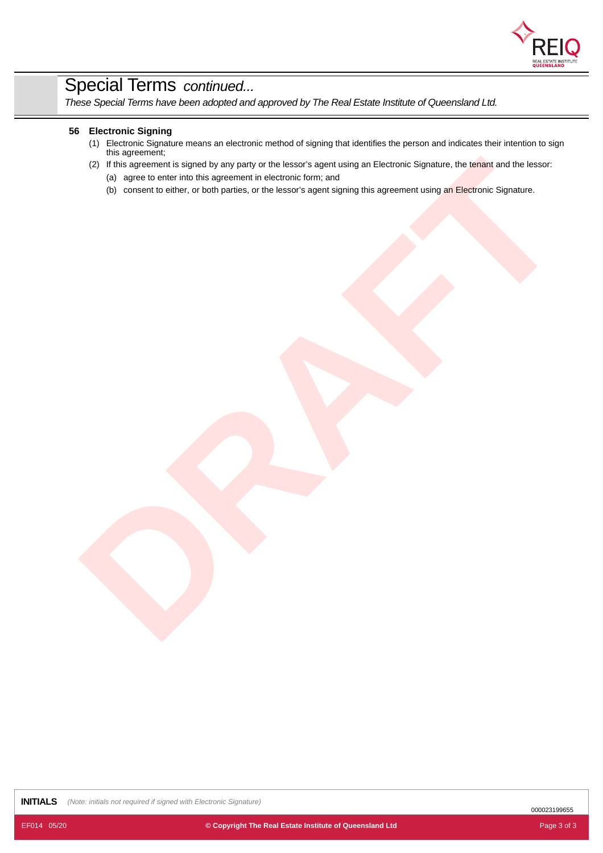

# Special Terms *continued...*

*These Special Terms have been adopted and approved by The Real Estate Institute of Queensland Ltd.*

#### **56 Electronic Signing**

- (1) Electronic Signature means an electronic method of signing that identifies the person and indicates their intention to sign this agreement;
- (2) This support in order for the supported in declaration for the state of the supported in the best of the supported in the supported in the control of the supported in the supported in the state of the supported in the (2) If this agreement is signed by any party or the lessor's agent using an Electronic Signature, the tenant and the lessor:
	- (a) agree to enter into this agreement in electronic form; and
	- (b) consent to either, or both parties, or the lessor's agent signing this agreement using an Electronic Signature.

**INITIALS** *(Note: initials not required if signed with Electronic Signature)*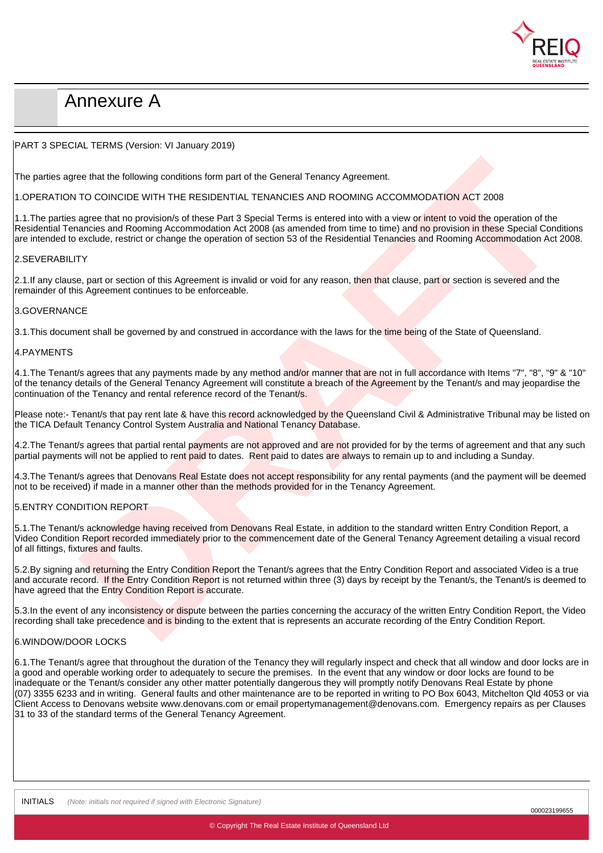

# Annexure A

#### PART 3 SPECIAL TERMS (Version: VI January 2019)

The parties agree that the following conditions form part of the General Tenancy Agreement.

#### 1.OPERATION TO COINCIDE WITH THE RESIDENTIAL TENANCIES AND ROOMING ACCOMMODATION ACT 2008

ee that the following conditions form part of the General Tenancy Agreement.<br>TO COINCIDE WITH THE RESIDENTIAL TENANCIES AND ROOMING ACCOMMODATION ACT 2008<br>agree that in providends of these Parts 3 Special Terms is related 1.1. The parties agree that no provision/s of these Part 3 Special Terms is entered into with a view or intent to void the operation of the Residential Tenancies and Rooming Accommodation Act 2008 (as amended from time to time) and no provision in these Special Conditions are intended to exclude, restrict or change the operation of section 53 of the Residential Tenancies and Rooming Accommodation Act 2008.

#### 2.SEVERABILITY

2.1.If any clause, part or section of this Agreement is invalid or void for any reason, then that clause, part or section is severed and the remainder of this Agreement continues to be enforceable.

#### 3.GOVERNANCE

3.1. This document shall be governed by and construed in accordance with the laws for the time being of the State of Queensland.

#### 4.PAYMENTS

4.1.The Tenant/s agrees that any payments made by any method and/or manner that are not in full accordance with Items "7", "8", "9" & "10" of the tenancy details of the General Tenancy Agreement will constitute a breach of the Agreement by the Tenant/s and may jeopardise the continuation of the Tenancy and rental reference record of the Tenant/s.

Please note:- Tenant/s that pay rent late & have this record acknowledged by the Queensland Civil & Administrative Tribunal may be listed on the TICA Default Tenancy Control System Australia and National Tenancy Database.

4.2. The Tenant/s agrees that partial rental payments are not approved and are not provided for by the terms of agreement and that any such partial payments will not be applied to rent paid to dates. Rent paid to dates are always to remain up to and including a Sunday.

4.3.The Tenant/s agrees that Denovans Real Estate does not accept responsibility for any rental payments (and the payment will be deemed not to be received) if made in a manner other than the methods provided for in the Tenancy Agreement.

#### 5.ENTRY CONDITION REPORT

5.1. The Tenant/s acknowledge having received from Denovans Real Estate, in addition to the standard written Entry Condition Report, a Video Condition Report recorded immediately prior to the commencement date of the General Tenancy Agreement detailing a visual record of all fittings, fixtures and faults.

5.2.By signing and returning the Entry Condition Report the Tenant/s agrees that the Entry Condition Report and associated Video is a true and accurate record. If the Entry Condition Report is not returned within three (3) days by receipt by the Tenant/s, the Tenant/s is deemed to have agreed that the Entry Condition Report is accurate.

5.3.In the event of any inconsistency or dispute between the parties concerning the accuracy of the written Entry Condition Report, the Video recording shall take precedence and is binding to the extent that is represents an accurate recording of the Entry Condition Report.

#### 6.WINDOW/DOOR LOCKS

6.1.The Tenant/s agree that throughout the duration of the Tenancy they will regularly inspect and check that all window and door locks are in a good and operable working order to adequately to secure the premises. In the event that any window or door locks are found to be inadequate or the Tenant/s consider any other matter potentially dangerous they will promptly notify Denovans Real Estate by phone (07) 3355 6233 and in writing. General faults and other maintenance are to be reported in writing to PO Box 6043, Mitchelton Qld 4053 or via Client Access to Denovans website www.denovans.com or email propertymanagement@denovans.com. Emergency repairs as per Clauses 31 to 33 of the standard terms of the General Tenancy Agreement.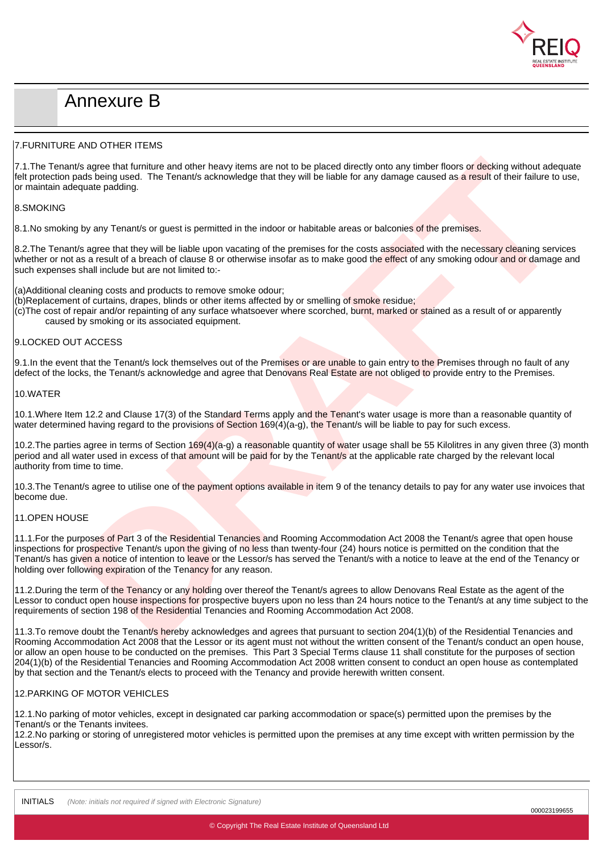

# Annexure B

#### 7.FURNITURE AND OTHER ITEMS

7.1. The Tenant/s agree that furniture and other heavy items are not to be placed directly onto any timber floors or decking without adequate felt protection pads being used. The Tenant/s acknowledge that they will be liable for any damage caused as a result of their failure to use, or maintain adequate padding.

#### 8.SMOKING

8.1. No smoking by any Tenant/s or quest is permitted in the indoor or habitable areas or balconies of the premises.

8.2. The Tenant/s agree that they will be liable upon vacating of the premises for the costs associated with the necessary cleaning services whether or not as a result of a breach of clause 8 or otherwise insofar as to make good the effect of any smoking odour and or damage and such expenses shall include but are not limited to:-

(a)Additional cleaning costs and products to remove smoke odour;

- (b)Replacement of curtains, drapes, blinds or other items affected by or smelling of smoke residue;
- (c)The cost of repair and/or repainting of any surface whatsoever where scorched, burnt, marked or stained as a result of or apparently caused by smoking or its associated equipment.

#### 9.LOCKED OUT ACCESS

9.1. In the event that the Tenant/s lock themselves out of the Premises or are unable to gain entry to the Premises through no fault of any defect of the locks, the Tenant/s acknowledge and agree that Denovans Real Estate are not obliged to provide entry to the Premises.

#### 10.WATER

10.1. Where Item 12.2 and Clause 17(3) of the Standard Terms apply and the Tenant's water usage is more than a reasonable quantity of water determined having regard to the provisions of Section  $169(4)(a-q)$ , the Tenant/s will be liable to pay for such excess.

10.2.The parties agree in terms of Section 169(4)(a-g) a reasonable quantity of water usage shall be 55 Kilolitres in any given three (3) month period and all water used in excess of that amount will be paid for by the Tenant/s at the applicable rate charged by the relevant local authority from time to time.

10.3. The Tenant/s agree to utilise one of the payment options available in item 9 of the tenancy details to pay for any water use invoices that become due.

#### 11.OPEN HOUSE

by any that further and other heavy learns are not be be placed directly onto any timber flours of decision without autoquate<br>And being used. The Tenant's acknowledge that they will be lable for any damage curves of a stre 11.1. For the purposes of Part 3 of the Residential Tenancies and Rooming Accommodation Act 2008 the Tenant/s agree that open house inspections for prospective Tenant/s upon the giving of no less than twenty-four (24) hours notice is permitted on the condition that the Tenant/s has given a notice of intention to leave or the Lessor/s has served the Tenant/s with a notice to leave at the end of the Tenancy or holding over following expiration of the Tenancy for any reason.

11.2.During the term of the Tenancy or any holding over thereof the Tenant/s agrees to allow Denovans Real Estate as the agent of the Lessor to conduct open house inspections for prospective buyers upon no less than 24 hours notice to the Tenant/s at any time subject to the requirements of section 198 of the Residential Tenancies and Rooming Accommodation Act 2008.

11.3.To remove doubt the Tenant/s hereby acknowledges and agrees that pursuant to section 204(1)(b) of the Residential Tenancies and Rooming Accommodation Act 2008 that the Lessor or its agent must not without the written consent of the Tenant/s conduct an open house, or allow an open house to be conducted on the premises. This Part 3 Special Terms clause 11 shall constitute for the purposes of section 204(1)(b) of the Residential Tenancies and Rooming Accommodation Act 2008 written consent to conduct an open house as contemplated by that section and the Tenant/s elects to proceed with the Tenancy and provide herewith written consent.

#### 12.PARKING OF MOTOR VEHICLES

12.1.No parking of motor vehicles, except in designated car parking accommodation or space(s) permitted upon the premises by the Tenant/s or the Tenants invitees.

12.2.No parking or storing of unregistered motor vehicles is permitted upon the premises at any time except with written permission by the Lessor/s.